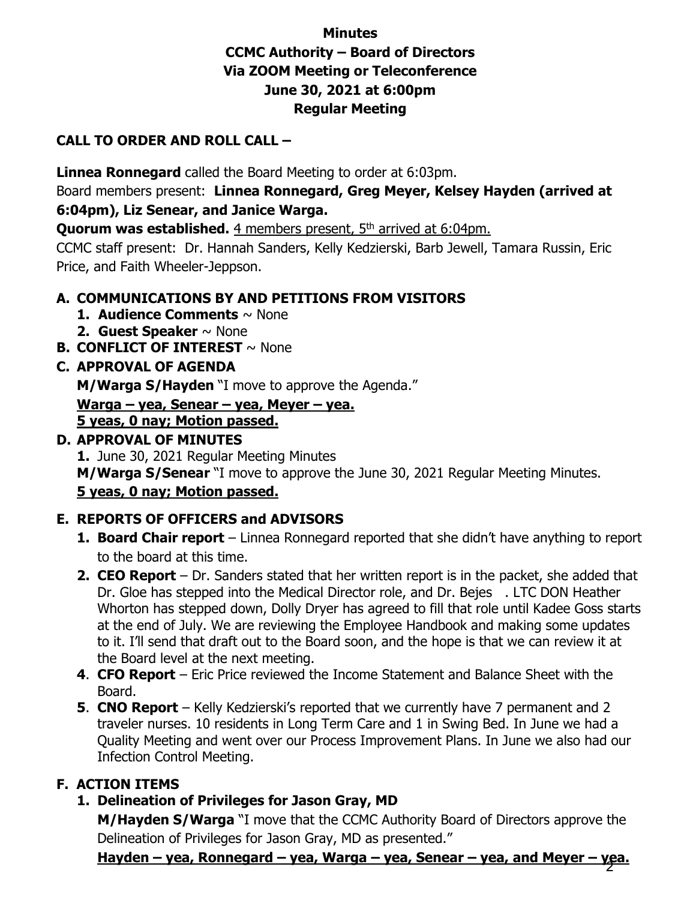# **Minutes CCMC Authority – Board of Directors Via ZOOM Meeting or Teleconference June 30, 2021 at 6:00pm Regular Meeting**

## **CALL TO ORDER AND ROLL CALL –**

**Linnea Ronnegard** called the Board Meeting to order at 6:03pm.

Board members present: **Linnea Ronnegard, Greg Meyer, Kelsey Hayden (arrived at 6:04pm), Liz Senear, and Janice Warga.** 

**Quorum was established.** 4 members present, 5<sup>th</sup> arrived at 6:04pm.

CCMC staff present: Dr. Hannah Sanders, Kelly Kedzierski, Barb Jewell, Tamara Russin, Eric Price, and Faith Wheeler-Jeppson.

## **A. COMMUNICATIONS BY AND PETITIONS FROM VISITORS**

- **1. Audience Comments** ~ None
- **2. Guest Speaker** ~ None
- **B. CONFLICT OF INTEREST** ~ None

## **C. APPROVAL OF AGENDA**

**M/Warga S/Hayden** "I move to approve the Agenda."

**Warga – yea, Senear – yea, Meyer – yea.** 

#### **5 yeas, 0 nay; Motion passed.**

## **D. APPROVAL OF MINUTES**

**1.** June 30, 2021 Regular Meeting Minutes **M/Warga S/Senear** "I move to approve the June 30, 2021 Regular Meeting Minutes.

### **5 yeas, 0 nay; Motion passed.**

# **E. REPORTS OF OFFICERS and ADVISORS**

- **1. Board Chair report** Linnea Ronnegard reported that she didn't have anything to report to the board at this time.
- **2. CEO Report** Dr. Sanders stated that her written report is in the packet, she added that Dr. Gloe has stepped into the Medical Director role, and Dr. Bejes . LTC DON Heather Whorton has stepped down, Dolly Dryer has agreed to fill that role until Kadee Goss starts at the end of July. We are reviewing the Employee Handbook and making some updates to it. I'll send that draft out to the Board soon, and the hope is that we can review it at the Board level at the next meeting.
- **4**. **CFO Report** Eric Price reviewed the Income Statement and Balance Sheet with the Board.
- **5**. **CNO Report** Kelly Kedzierski's reported that we currently have 7 permanent and 2 traveler nurses. 10 residents in Long Term Care and 1 in Swing Bed. In June we had a Quality Meeting and went over our Process Improvement Plans. In June we also had our Infection Control Meeting.

# **F. ACTION ITEMS**

**1. Delineation of Privileges for Jason Gray, MD**

**M/Hayden S/Warga** "I move that the CCMC Authority Board of Directors approve the Delineation of Privileges for Jason Gray, MD as presented."

**Hayden – yea, Ronnegard – yea, Warga – yea, Senear – yea, and Meyer – yea.** 2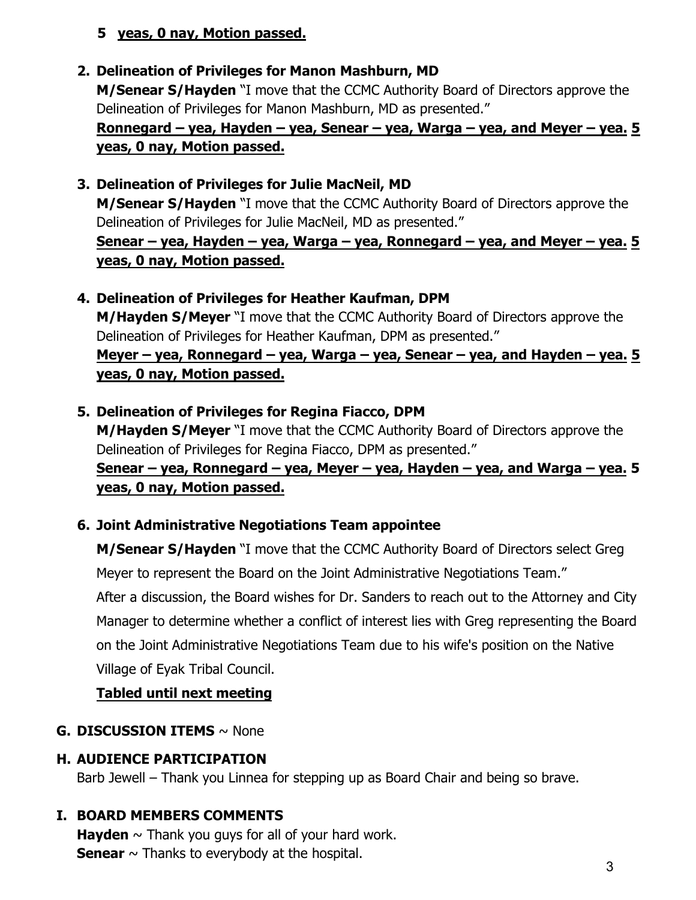### **5 yeas, 0 nay, Motion passed.**

# **2. Delineation of Privileges for Manon Mashburn, MD**

**M/Senear S/Hayden** "I move that the CCMC Authority Board of Directors approve the Delineation of Privileges for Manon Mashburn, MD as presented."

# **Ronnegard – yea, Hayden – yea, Senear – yea, Warga – yea, and Meyer – yea. 5 yeas, 0 nay, Motion passed.**

## **3. Delineation of Privileges for Julie MacNeil, MD**

**M/Senear S/Hayden** "I move that the CCMC Authority Board of Directors approve the Delineation of Privileges for Julie MacNeil, MD as presented."

## **Senear – yea, Hayden – yea, Warga – yea, Ronnegard – yea, and Meyer – yea. 5 yeas, 0 nay, Motion passed.**

## **4. Delineation of Privileges for Heather Kaufman, DPM**

**M/Hayden S/Meyer** "I move that the CCMC Authority Board of Directors approve the Delineation of Privileges for Heather Kaufman, DPM as presented."

# **Meyer – yea, Ronnegard – yea, Warga – yea, Senear – yea, and Hayden – yea. 5 yeas, 0 nay, Motion passed.**

# **5. Delineation of Privileges for Regina Fiacco, DPM**

**M/Hayden S/Meyer** "I move that the CCMC Authority Board of Directors approve the Delineation of Privileges for Regina Fiacco, DPM as presented." **Senear – yea, Ronnegard – yea, Meyer – yea, Hayden – yea, and Warga – yea. 5**

#### **yeas, 0 nay, Motion passed.**

# **6. Joint Administrative Negotiations Team appointee**

**M/Senear S/Hayden** "I move that the CCMC Authority Board of Directors select Greg Meyer to represent the Board on the Joint Administrative Negotiations Team."

After a discussion, the Board wishes for Dr. Sanders to reach out to the Attorney and City Manager to determine whether a conflict of interest lies with Greg representing the Board on the Joint Administrative Negotiations Team due to his wife's position on the Native Village of Eyak Tribal Council.

# **Tabled until next meeting**

### **G. DISCUSSION ITEMS** ~ None

### **H. AUDIENCE PARTICIPATION**

Barb Jewell – Thank you Linnea for stepping up as Board Chair and being so brave.

# **I. BOARD MEMBERS COMMENTS**

**Hayden**  $\sim$  Thank you guys for all of your hard work. **Senear**  $\sim$  Thanks to everybody at the hospital.